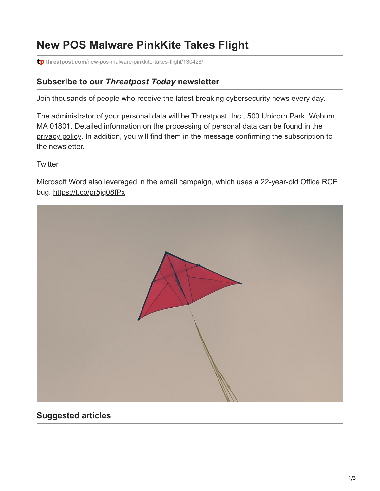# **New POS Malware PinkKite Takes Flight**

**tp** threatpost.com[/new-pos-malware-pinkkite-takes-flight/130428/](https://threatpost.com/new-pos-malware-pinkkite-takes-flight/130428/)

#### **Subscribe to our** *Threatpost Today* **newsletter**

Join thousands of people who receive the latest breaking cybersecurity news every day.

The administrator of your personal data will be Threatpost, Inc., 500 Unicorn Park, Woburn, MA 01801. Detailed information on the processing of personal data can be found in the [privacy policy](https://threatpost.com/web-privacy-policy/). In addition, you will find them in the message confirming the subscription to the newsletter.

**Twitter** 

Microsoft Word also leveraged in the email campaign, which uses a 22-year-old Office RCE bug. <https://t.co/pr5jq08fPx>



## **Suggested articles**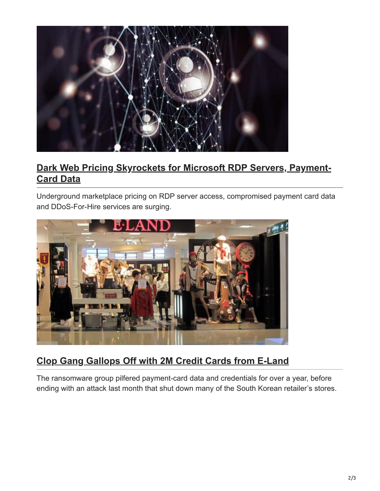

## **[Dark Web Pricing Skyrockets for Microsoft RDP Servers, Payment-](https://threatpost.com/rdp-server-access-payment-card-data-in-high-cybercrime-demand/162476/)Card Data**

Underground marketplace pricing on RDP server access, compromised payment card data and DDoS-For-Hire services are surging.



## **[Clop Gang Gallops Off with 2M Credit Cards from E-Land](https://threatpost.com/clop-gang-2m-credit-cards-eland/161833/)**

The ransomware group pilfered payment-card data and credentials for over a year, before ending with an attack last month that shut down many of the South Korean retailer's stores.